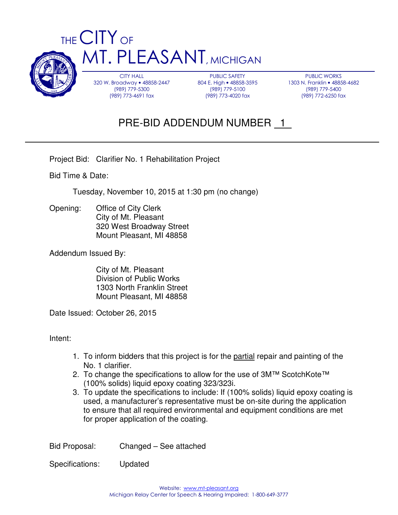

PUBLIC WORKS 1303 N. Franklin • 48858-4682 (989) 779-5400 (989) 772-6250 fax

# PRE-BID ADDENDUM NUMBER 1

Project Bid: Clarifier No. 1 Rehabilitation Project

Bid Time & Date:

Tuesday, November 10, 2015 at 1:30 pm (no change)

Opening: Office of City Clerk City of Mt. Pleasant 320 West Broadway Street Mount Pleasant, MI 48858

Addendum Issued By:

 City of Mt. Pleasant Division of Public Works 1303 North Franklin Street Mount Pleasant, MI 48858

Date Issued: October 26, 2015

Intent:

- 1. To inform bidders that this project is for the partial repair and painting of the No. 1 clarifier.
- 2. To change the specifications to allow for the use of 3M™ ScotchKote™ (100% solids) liquid epoxy coating 323/323i.
- 3. To update the specifications to include: If (100% solids) liquid epoxy coating is used, a manufacturer's representative must be on-site during the application to ensure that all required environmental and equipment conditions are met for proper application of the coating.

Bid Proposal: Changed – See attached

Specifications: Updated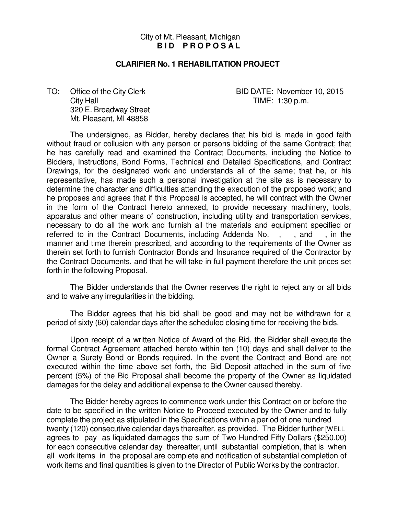#### City of Mt. Pleasant, Michigan **BID PROPOSAL**

#### **CLARIFIER No. 1 REHABILITATION PROJECT**

City Hall TIME: 1:30 p.m. 320 E. Broadway Street Mt. Pleasant, MI 48858

TO: Office of the City Clerk BID DATE: November 10, 2015

The undersigned, as Bidder, hereby declares that his bid is made in good faith without fraud or collusion with any person or persons bidding of the same Contract; that he has carefully read and examined the Contract Documents, including the Notice to Bidders, Instructions, Bond Forms, Technical and Detailed Specifications, and Contract Drawings, for the designated work and understands all of the same; that he, or his representative, has made such a personal investigation at the site as is necessary to determine the character and difficulties attending the execution of the proposed work; and he proposes and agrees that if this Proposal is accepted, he will contract with the Owner in the form of the Contract hereto annexed, to provide necessary machinery, tools, apparatus and other means of construction, including utility and transportation services, necessary to do all the work and furnish all the materials and equipment specified or referred to in the Contract Documents, including Addenda No. , , and , in the manner and time therein prescribed, and according to the requirements of the Owner as therein set forth to furnish Contractor Bonds and Insurance required of the Contractor by the Contract Documents, and that he will take in full payment therefore the unit prices set forth in the following Proposal.

The Bidder understands that the Owner reserves the right to reject any or all bids and to waive any irregularities in the bidding.

The Bidder agrees that his bid shall be good and may not be withdrawn for a period of sixty (60) calendar days after the scheduled closing time for receiving the bids.

Upon receipt of a written Notice of Award of the Bid, the Bidder shall execute the formal Contract Agreement attached hereto within ten (10) days and shall deliver to the Owner a Surety Bond or Bonds required. In the event the Contract and Bond are not executed within the time above set forth, the Bid Deposit attached in the sum of five percent (5%) of the Bid Proposal shall become the property of the Owner as liquidated damages for the delay and additional expense to the Owner caused thereby.

The Bidder hereby agrees to commence work under this Contract on or before the date to be specified in the written Notice to Proceed executed by the Owner and to fully complete the project as stipulated in the Specifications within a period of one hundred twenty (120) consecutive calendar days thereafter, as provided. The Bidder further [WELL agrees to pay as liquidated damages the sum of Two Hundred Fifty Dollars (\$250.00) for each consecutive calendar day thereafter, until substantial completion, that is when all work items in the proposal are complete and notification of substantial completion of work items and final quantities is given to the Director of Public Works by the contractor.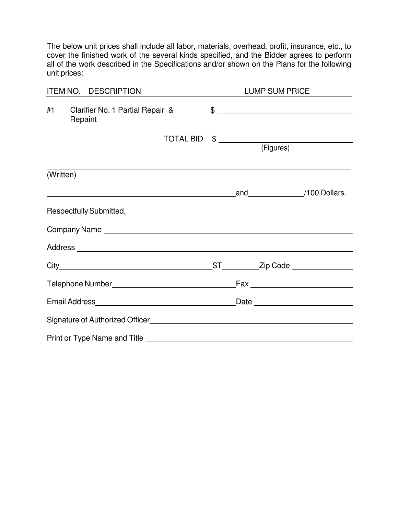The below unit prices shall include all labor, materials, overhead, profit, insurance, etc., to cover the finished work of the several kinds specified, and the Bidder agrees to perform all of the work described in the Specifications and/or shown on the Plans for the following unit prices:

| ITEM NO. DESCRIPTION |                                             |                  | LUMP SUM PRICE |  |                            |                                           |
|----------------------|---------------------------------------------|------------------|----------------|--|----------------------------|-------------------------------------------|
| #1                   | Clarifier No. 1 Partial Repair &<br>Repaint |                  |                |  |                            |                                           |
|                      |                                             | <b>TOTAL BID</b> |                |  | $\frac{1}{2}$<br>(Figures) |                                           |
|                      |                                             |                  |                |  |                            |                                           |
| (Written)            |                                             |                  |                |  |                            |                                           |
|                      | and 100 Dollars.                            |                  |                |  |                            |                                           |
|                      | Respectfully Submitted,                     |                  |                |  |                            |                                           |
|                      |                                             |                  |                |  |                            |                                           |
|                      |                                             |                  |                |  |                            |                                           |
|                      |                                             |                  |                |  |                            | _ST____________Zip Code _________________ |
|                      |                                             |                  |                |  |                            |                                           |
|                      |                                             |                  |                |  |                            |                                           |
|                      |                                             |                  |                |  |                            |                                           |
|                      |                                             |                  |                |  |                            |                                           |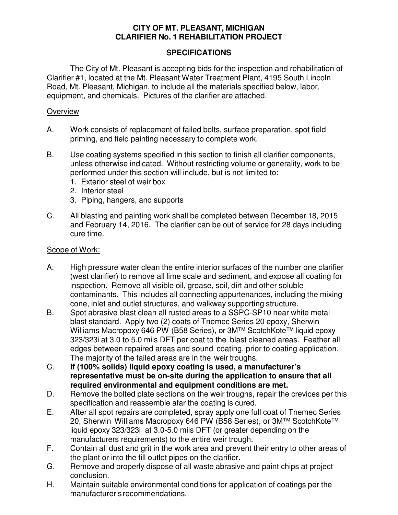## **CITY OF MT. PLEASANT, MICHIGAN CLARIFIER No. 1 REHABILITATION PROJECT**

#### **SPECIFICATIONS**

The City of Mt. Pleasant is accepting bids for the inspection and rehabilitation of Clarifier #1, located at the Mt. Pleasant Water Treatment Plant, 4195 South Lincoln Road, Mt. Pleasant, Michigan, to include all the materials specified below, labor, equipment, and chemicals. Pictures of the clarifier are attached.

#### **Overview**

- A. Work consists of replacement of failed bolts, surface preparation, spot field priming, and field painting necessary to complete work.
- B. Use coating systems specified in this section to finish all clarifier components, unless otherwise indicated. Without restricting volume or generality, work to be performed under this section will include, but is not limited to:
	- 1. Exterior steel of weir box
	- 2. Interior steel
	- 3. Piping, hangers, and supports
- C. All blasting and painting work shall be completed between December 18, 2015 and February 14, 2016. The clarifier can be out of service for 28 days including cure time.

#### Scope of Work:

- A. High pressure water clean the entire interior surfaces of the number one clarifier (west clarifier) to remove all lime scale and sediment, and expose all coating for inspection. Remove all visible oil, grease, soil, dirt and other soluble contaminants. This includes all connecting appurtenances, including the mixing cone, inlet and outlet structures, and walkway supporting structure.
- B. Spot abrasive blast clean all rusted areas to a SSPC-SP10 near white metal blast standard. Apply two (2) coats of Tnemec Series 20 epoxy, Sherwin Williams Macropoxy 646 PW (B58 Series), or 3M™ ScotchKote™ liquid epoxy 323/323i at 3.0 to 5.0 mils DFT per coat to the blast cleaned areas. Feather all edges between repaired areas and sound coating, prior to coating application. The majority of the failed areas are in the weir troughs.
- C. **If (100% solids) liquid epoxy coating is used, a manufacturer's representative must be on-site during the application to ensure that all required environmental and equipment conditions are met.**
- D. Bemove the bolted plate sections on the weir troughs, repair the crevices per this specification and reassemble afar the coating is cured.
- E. After all spot repairs are completed, spray apply one full coat of Tnemec Series 20, Sherwin Williams Macropoxy 646 PW (B58 Series), or 3M™ ScotchKote™ liquid epoxy 323/323i at 3.0-5.0 mils DFT (or greater depending on the manufacturers requirements) to the entire weir trough.
- F. Contain all dust and grit in the work area and prevent their entry to other areas of the plant or into the fill outlet pipes on the clarifier.
- G. Remove and properly dispose of all waste abrasive and paint chips at project conclusion.
- H. Maintain suitable environmental conditions for application of coatings per the manufacturer's recommendations.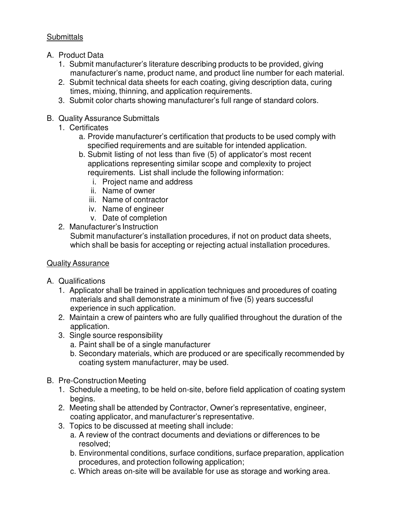## **Submittals**

- A. Product Data
	- 1. Submit manufacturer's literature describing products to be provided, giving manufacturer's name, product name, and product line number for each material.
	- 2. Submit technical data sheets for each coating, giving description data, curing times, mixing, thinning, and application requirements.
	- 3. Submit color charts showing manufacturer's full range of standard colors.
- B. Quality Assurance Submittals
	- 1. Certificates
		- a. Provide manufacturer's certification that products to be used comply with specified requirements and are suitable for intended application.
		- b. Submit listing of not less than five (5) of applicator's most recent applications representing similar scope and complexity to project requirements. List shall include the following information:
			- i. Project name and address
			- ii. Name of owner
			- iii. Name of contractor
			- iv. Name of engineer
			- v. Date of completion
	- 2. Manufacturer's Instruction

Submit manufacturer's installation procedures, if not on product data sheets, which shall be basis for accepting or rejecting actual installation procedures.

## Quality Assurance

- A. Qualifications
	- 1. Applicator shall be trained in application techniques and procedures of coating materials and shall demonstrate a minimum of five (5) years successful experience in such application.
	- 2. Maintain a crew of painters who are fully qualified throughout the duration of the application.
	- 3. Single source responsibility
		- a. Paint shall be of a single manufacturer
		- b. Secondary materials, which are produced or are specifically recommended by coating system manufacturer, may be used.
- B. Pre-Construction Meeting
	- 1. Schedule a meeting, to be held on-site, before field application of coating system begins.
	- 2. Meeting shall be attended by Contractor, Owner's representative, engineer, coating applicator, and manufacturer's representative.
	- 3. Topics to be discussed at meeting shall include:
		- a. A review of the contract documents and deviations or differences to be resolved;
		- b. Environmental conditions, surface conditions, surface preparation, application procedures, and protection following application;
		- c. Which areas on-site will be available for use as storage and working area.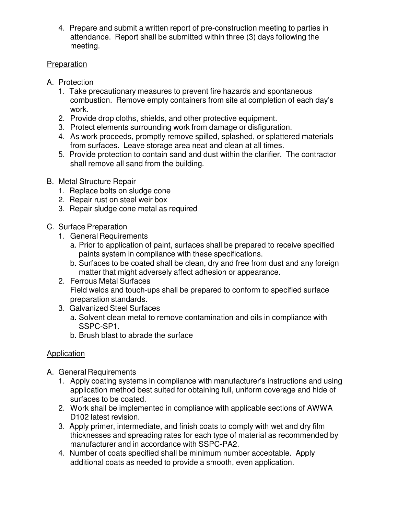4. Prepare and submit a written report of pre-construction meeting to parties in attendance. Report shall be submitted within three (3) days following the meeting.

## Preparation

- A. Protection
	- 1. Take precautionary measures to prevent fire hazards and spontaneous combustion. Remove empty containers from site at completion of each day's work.
	- 2. Provide drop cloths, shields, and other protective equipment.
	- 3. Protect elements surrounding work from damage or disfiguration.
	- 4. As work proceeds, promptly remove spilled, splashed, or splattered materials from surfaces. Leave storage area neat and clean at all times.
	- 5. Provide protection to contain sand and dust within the clarifier. The contractor shall remove all sand from the building.
- B. Metal Structure Repair
	- 1. Replace bolts on sludge cone
	- 2. Repair rust on steel weir box
	- 3. Repair sludge cone metal as required
- C. Surface Preparation
	- 1. General Requirements
		- a. Prior to application of paint, surfaces shall be prepared to receive specified paints system in compliance with these specifications.
		- b. Surfaces to be coated shall be clean, dry and free from dust and any foreign matter that might adversely affect adhesion or appearance.
	- 2. Ferrous Metal Surfaces Field welds and touch-ups shall be prepared to conform to specified surface preparation standards.
	- 3. Galvanized Steel Surfaces
		- a. Solvent clean metal to remove contamination and oils in compliance with SSPC-SP1.
		- b. Brush blast to abrade the surface

## Application

- A. General Requirements
	- 1. Apply coating systems in compliance with manufacturer's instructions and using application method best suited for obtaining full, uniform coverage and hide of surfaces to be coated.
	- 2. Work shall be implemented in compliance with applicable sections of AWWA D102 latest revision.
	- 3. Apply primer, intermediate, and finish coats to comply with wet and dry film thicknesses and spreading rates for each type of material as recommended by manufacturer and in accordance with SSPC-PA2.
	- 4. Number of coats specified shall be minimum number acceptable. Apply additional coats as needed to provide a smooth, even application.